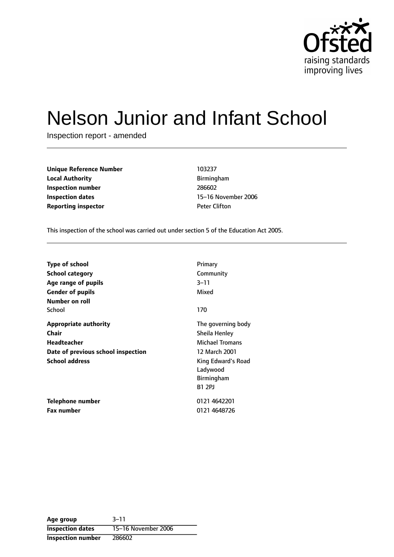

# Nelson Junior and Infant School

Inspection report - amended

| Unique Reference Number    | 103237               |
|----------------------------|----------------------|
| <b>Local Authority</b>     | <b>Birmingham</b>    |
| Inspection number          | 286602               |
| Inspection dates           | 15-16 Novem          |
| <b>Reporting inspector</b> | <b>Peter Clifton</b> |

**Unique Reference Number** 103237 **Local Authority** Birmingham **Inspection number** 286602 **15-16 November 2006** 

This inspection of the school was carried out under section 5 of the Education Act 2005.

| Type of school<br>School category<br>Age range of pupils<br><b>Gender of pupils</b>               | Primary<br>Community<br>$3 - 11$<br>Mixed                                      |
|---------------------------------------------------------------------------------------------------|--------------------------------------------------------------------------------|
| Number on roll<br>School                                                                          | 170                                                                            |
| <b>Appropriate authority</b><br>Chair<br><b>Headteacher</b><br>Date of previous school inspection | The governing body<br>Sheila Henley<br><b>Michael Tromans</b><br>12 March 2001 |
| <b>School address</b>                                                                             | King Edward's Road<br>Ladywood<br>Birmingham<br><b>B1 2PJ</b>                  |
| Telephone number                                                                                  | 0121 4642201                                                                   |
| <b>Fax number</b>                                                                                 | 0121 4648726                                                                   |

**Age** group 3-11 **Inspection dates** 15-16 November 2006 **Inspection number** 286602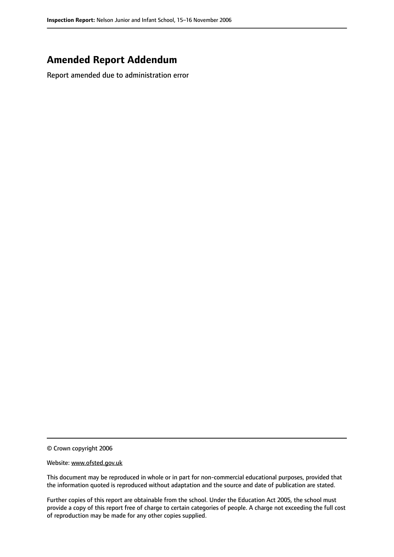## **Amended Report Addendum**

Report amended due to administration error

© Crown copyright 2006

Website: www.ofsted.gov.uk

This document may be reproduced in whole or in part for non-commercial educational purposes, provided that the information quoted is reproduced without adaptation and the source and date of publication are stated.

Further copies of this report are obtainable from the school. Under the Education Act 2005, the school must provide a copy of this report free of charge to certain categories of people. A charge not exceeding the full cost of reproduction may be made for any other copies supplied.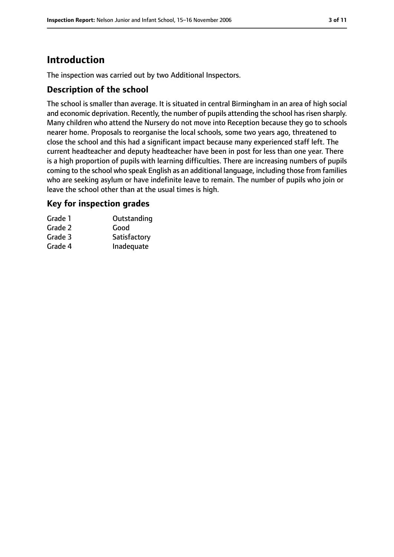# **Introduction**

The inspection was carried out by two Additional Inspectors.

#### **Description of the school**

The school is smaller than average. It is situated in central Birmingham in an area of high social and economic deprivation. Recently, the number of pupils attending the school has risen sharply. Many children who attend the Nursery do not move into Reception because they go to schools nearer home. Proposals to reorganise the local schools, some two years ago, threatened to close the school and this had a significant impact because many experienced staff left. The current headteacher and deputy headteacher have been in post for less than one year. There is a high proportion of pupils with learning difficulties. There are increasing numbers of pupils coming to the school who speak English as an additional language, including those from families who are seeking asylum or have indefinite leave to remain. The number of pupils who join or leave the school other than at the usual times is high.

#### **Key for inspection grades**

| Grade 1 | Outstanding  |
|---------|--------------|
| Grade 2 | Good         |
| Grade 3 | Satisfactory |
| Grade 4 | Inadequate   |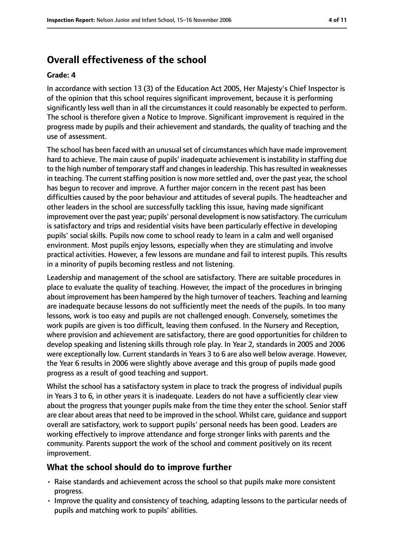# **Overall effectiveness of the school**

#### **Grade: 4**

In accordance with section 13 (3) of the Education Act 2005, Her Majesty's Chief Inspector is of the opinion that this school requires significant improvement, because it is performing significantly less well than in all the circumstances it could reasonably be expected to perform. The school is therefore given a Notice to Improve. Significant improvement is required in the progress made by pupils and their achievement and standards, the quality of teaching and the use of assessment.

The school has been faced with an unusual set of circumstances which have made improvement hard to achieve. The main cause of pupils' inadequate achievement is instability in staffing due to the high number of temporary staff and changes in leadership. This has resulted in weaknesses in teaching. The current staffing position is now more settled and, over the past year, the school has begun to recover and improve. A further major concern in the recent past has been difficulties caused by the poor behaviour and attitudes of several pupils. The headteacher and other leaders in the school are successfully tackling this issue, having made significant improvement over the past year; pupils' personal development is now satisfactory. The curriculum is satisfactory and trips and residential visits have been particularly effective in developing pupils' social skills. Pupils now come to school ready to learn in a calm and well organised environment. Most pupils enjoy lessons, especially when they are stimulating and involve practical activities. However, a few lessons are mundane and fail to interest pupils. This results in a minority of pupils becoming restless and not listening.

Leadership and management of the school are satisfactory. There are suitable procedures in place to evaluate the quality of teaching. However, the impact of the procedures in bringing about improvement has been hampered by the high turnover of teachers. Teaching and learning are inadequate because lessons do not sufficiently meet the needs of the pupils. In too many lessons, work is too easy and pupils are not challenged enough. Conversely, sometimes the work pupils are given is too difficult, leaving them confused. In the Nursery and Reception, where provision and achievement are satisfactory, there are good opportunities for children to develop speaking and listening skills through role play. In Year 2, standards in 2005 and 2006 were exceptionally low. Current standards in Years 3 to 6 are also well below average. However, the Year 6 results in 2006 were slightly above average and this group of pupils made good progress as a result of good teaching and support.

Whilst the school has a satisfactory system in place to track the progress of individual pupils in Years 3 to 6, in other years it is inadequate. Leaders do not have a sufficiently clear view about the progress that younger pupils make from the time they enter the school. Senior staff are clear about areas that need to be improved in the school. Whilst care, guidance and support overall are satisfactory, work to support pupils' personal needs has been good. Leaders are working effectively to improve attendance and forge stronger links with parents and the community. Parents support the work of the school and comment positively on its recent improvement.

#### **What the school should do to improve further**

- Raise standards and achievement across the school so that pupils make more consistent progress.
- Improve the quality and consistency of teaching, adapting lessons to the particular needs of pupils and matching work to pupils' abilities.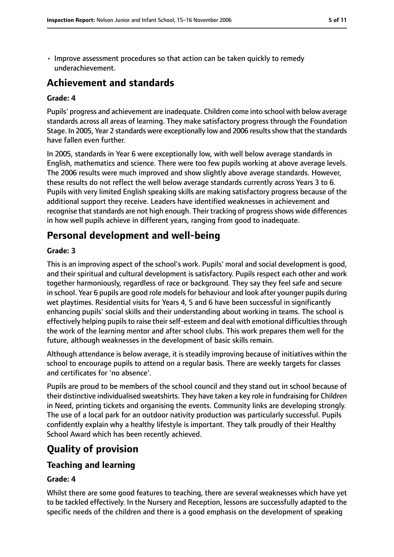• Improve assessment procedures so that action can be taken quickly to remedy underachievement.

## **Achievement and standards**

#### **Grade: 4**

Pupils' progress and achievement are inadequate. Children come into school with below average standards across all areas of learning. They make satisfactory progress through the Foundation Stage. In 2005, Year 2 standards were exceptionally low and 2006 resultsshow that the standards have fallen even further.

In 2005, standards in Year 6 were exceptionally low, with well below average standards in English, mathematics and science. There were too few pupils working at above average levels. The 2006 results were much improved and show slightly above average standards. However, these results do not reflect the well below average standards currently across Years 3 to 6. Pupils with very limited English speaking skills are making satisfactory progress because of the additional support they receive. Leaders have identified weaknesses in achievement and recognise that standards are not high enough. Their tracking of progress shows wide differences in how well pupils achieve in different years, ranging from good to inadequate.

## **Personal development and well-being**

#### **Grade: 3**

This is an improving aspect of the school's work. Pupils' moral and social development is good, and their spiritual and cultural development is satisfactory. Pupils respect each other and work together harmoniously, regardless of race or background. They say they feel safe and secure in school. Year 6 pupils are good role models for behaviour and look after younger pupils during wet playtimes. Residential visits for Years 4, 5 and 6 have been successful in significantly enhancing pupils' social skills and their understanding about working in teams. The school is effectively helping pupils to raise their self-esteem and deal with emotional difficulties through the work of the learning mentor and after school clubs. This work prepares them well for the future, although weaknesses in the development of basic skills remain.

Although attendance is below average, it is steadily improving because of initiatives within the school to encourage pupils to attend on a regular basis. There are weekly targets for classes and certificates for 'no absence'.

Pupils are proud to be members of the school council and they stand out in school because of their distinctive individualised sweatshirts. They have taken a key role in fundraising for Children in Need, printing tickets and organising the events. Community links are developing strongly. The use of a local park for an outdoor nativity production was particularly successful. Pupils confidently explain why a healthy lifestyle is important. They talk proudly of their Healthy School Award which has been recently achieved.

## **Quality of provision**

#### **Teaching and learning**

#### **Grade: 4**

Whilst there are some good features to teaching, there are several weaknesses which have yet to be tackled effectively. In the Nursery and Reception, lessons are successfully adapted to the specific needs of the children and there is a good emphasis on the development of speaking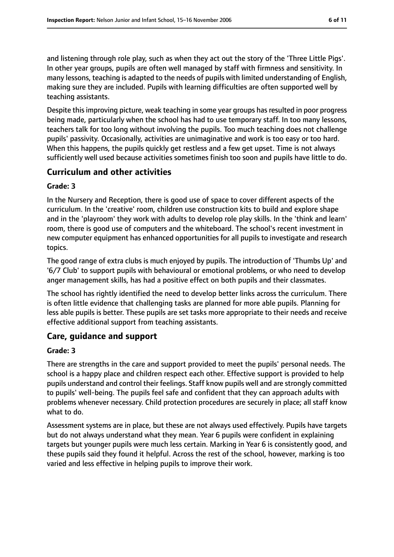and listening through role play, such as when they act out the story of the 'Three Little Pigs'. In other year groups, pupils are often well managed by staff with firmness and sensitivity. In many lessons, teaching is adapted to the needs of pupils with limited understanding of English, making sure they are included. Pupils with learning difficulties are often supported well by teaching assistants.

Despite this improving picture, weak teaching in some year groups has resulted in poor progress being made, particularly when the school has had to use temporary staff. In too many lessons, teachers talk for too long without involving the pupils. Too much teaching does not challenge pupils' passivity. Occasionally, activities are unimaginative and work is too easy or too hard. When this happens, the pupils quickly get restless and a few get upset. Time is not always sufficiently well used because activities sometimes finish too soon and pupils have little to do.

#### **Curriculum and other activities**

#### **Grade: 3**

In the Nursery and Reception, there is good use of space to cover different aspects of the curriculum. In the 'creative' room, children use construction kits to build and explore shape and in the 'playroom' they work with adults to develop role play skills. In the 'think and learn' room, there is good use of computers and the whiteboard. The school's recent investment in new computer equipment has enhanced opportunities for all pupils to investigate and research topics.

The good range of extra clubs is much enjoyed by pupils. The introduction of 'Thumbs Up' and '6/7 Club' to support pupils with behavioural or emotional problems, or who need to develop anger management skills, has had a positive effect on both pupils and their classmates.

The school has rightly identified the need to develop better links across the curriculum. There is often little evidence that challenging tasks are planned for more able pupils. Planning for less able pupils is better. These pupils are set tasks more appropriate to their needs and receive effective additional support from teaching assistants.

#### **Care, guidance and support**

#### **Grade: 3**

There are strengths in the care and support provided to meet the pupils' personal needs. The school is a happy place and children respect each other. Effective support is provided to help pupils understand and control their feelings. Staff know pupils well and are strongly committed to pupils' well-being. The pupils feel safe and confident that they can approach adults with problems whenever necessary. Child protection procedures are securely in place; all staff know what to do.

Assessment systems are in place, but these are not always used effectively. Pupils have targets but do not always understand what they mean. Year 6 pupils were confident in explaining targets but younger pupils were much less certain. Marking in Year 6 is consistently good, and these pupils said they found it helpful. Across the rest of the school, however, marking is too varied and less effective in helping pupils to improve their work.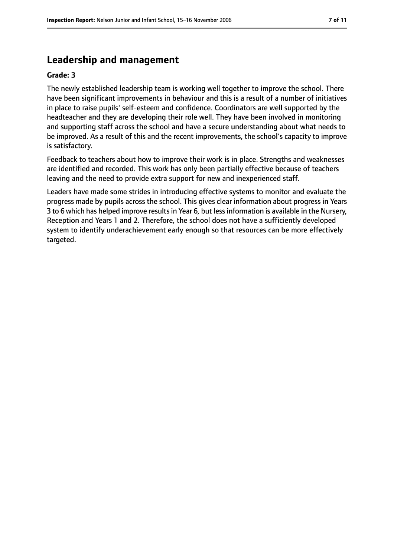## **Leadership and management**

#### **Grade: 3**

The newly established leadership team is working well together to improve the school. There have been significant improvements in behaviour and this is a result of a number of initiatives in place to raise pupils' self-esteem and confidence. Coordinators are well supported by the headteacher and they are developing their role well. They have been involved in monitoring and supporting staff across the school and have a secure understanding about what needs to be improved. As a result of this and the recent improvements, the school's capacity to improve is satisfactory.

Feedback to teachers about how to improve their work is in place. Strengths and weaknesses are identified and recorded. This work has only been partially effective because of teachers leaving and the need to provide extra support for new and inexperienced staff.

Leaders have made some strides in introducing effective systems to monitor and evaluate the progress made by pupils across the school. This gives clear information about progress in Years 3 to 6 which has helped improve resultsin Year 6, but lessinformation is available in the Nursery, Reception and Years 1 and 2. Therefore, the school does not have a sufficiently developed system to identify underachievement early enough so that resources can be more effectively targeted.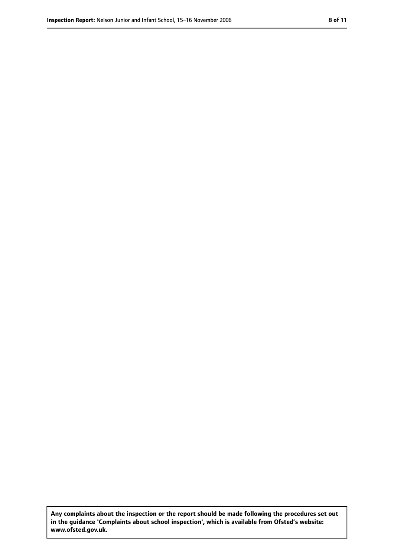**Any complaints about the inspection or the report should be made following the procedures set out in the guidance 'Complaints about school inspection', which is available from Ofsted's website: www.ofsted.gov.uk.**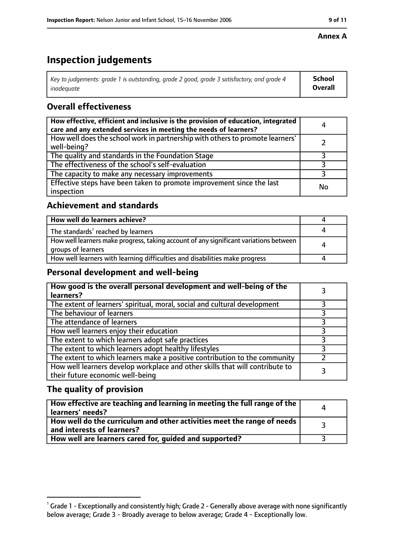# **Inspection judgements**

| Key to judgements: grade 1 is outstanding, grade 2 good, grade 3 satisfactory, and grade 4 | School         |
|--------------------------------------------------------------------------------------------|----------------|
| inadeauate                                                                                 | <b>Overall</b> |

## **Overall effectiveness**

| How effective, efficient and inclusive is the provision of education, integrated<br>care and any extended services in meeting the needs of learners? | 4  |
|------------------------------------------------------------------------------------------------------------------------------------------------------|----|
| How well does the school work in partnership with others to promote learners'<br>well-being?                                                         |    |
| The quality and standards in the Foundation Stage                                                                                                    |    |
| The effectiveness of the school's self-evaluation                                                                                                    |    |
| The capacity to make any necessary improvements                                                                                                      |    |
| Effective steps have been taken to promote improvement since the last<br>inspection                                                                  | No |

## **Achievement and standards**

| How well do learners achieve?                                                                               |  |
|-------------------------------------------------------------------------------------------------------------|--|
| The standards <sup>1</sup> reached by learners                                                              |  |
| How well learners make progress, taking account of any significant variations between<br>groups of learners |  |
| How well learners with learning difficulties and disabilities make progress                                 |  |

#### **Personal development and well-being**

| How good is the overall personal development and well-being of the<br>learners?                                  |  |
|------------------------------------------------------------------------------------------------------------------|--|
| The extent of learners' spiritual, moral, social and cultural development                                        |  |
| The behaviour of learners                                                                                        |  |
| The attendance of learners                                                                                       |  |
| How well learners enjoy their education                                                                          |  |
| The extent to which learners adopt safe practices                                                                |  |
| The extent to which learners adopt healthy lifestyles                                                            |  |
| The extent to which learners make a positive contribution to the community                                       |  |
| How well learners develop workplace and other skills that will contribute to<br>their future economic well-being |  |

## **The quality of provision**

| How effective are teaching and learning in meeting the full range of the<br>learners' needs?          | $\Delta$ |
|-------------------------------------------------------------------------------------------------------|----------|
| How well do the curriculum and other activities meet the range of needs<br>and interests of learners? |          |
| How well are learners cared for, guided and supported?                                                |          |

#### **Annex A**

 $^1$  Grade 1 - Exceptionally and consistently high; Grade 2 - Generally above average with none significantly below average; Grade 3 - Broadly average to below average; Grade 4 - Exceptionally low.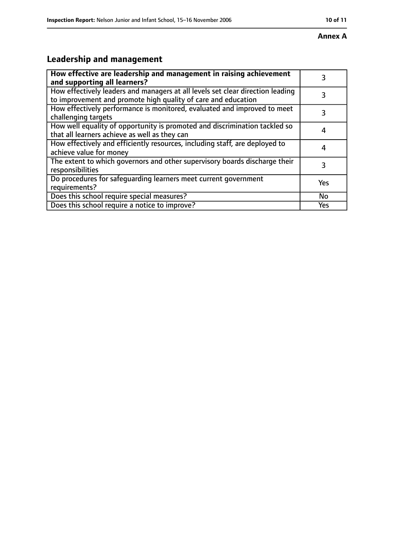#### **Annex A**

# **Leadership and management**

| How effective are leadership and management in raising achievement<br>and supporting all learners?                                              |     |
|-------------------------------------------------------------------------------------------------------------------------------------------------|-----|
| How effectively leaders and managers at all levels set clear direction leading<br>to improvement and promote high quality of care and education |     |
| How effectively performance is monitored, evaluated and improved to meet<br>challenging targets                                                 |     |
| How well equality of opportunity is promoted and discrimination tackled so<br>that all learners achieve as well as they can                     |     |
| How effectively and efficiently resources, including staff, are deployed to<br>achieve value for money                                          | 4   |
| The extent to which governors and other supervisory boards discharge their<br>responsibilities                                                  | 3   |
| Do procedures for safequarding learners meet current government<br>requirements?                                                                | Yes |
| Does this school require special measures?                                                                                                      | No  |
| Does this school require a notice to improve?                                                                                                   | Yes |